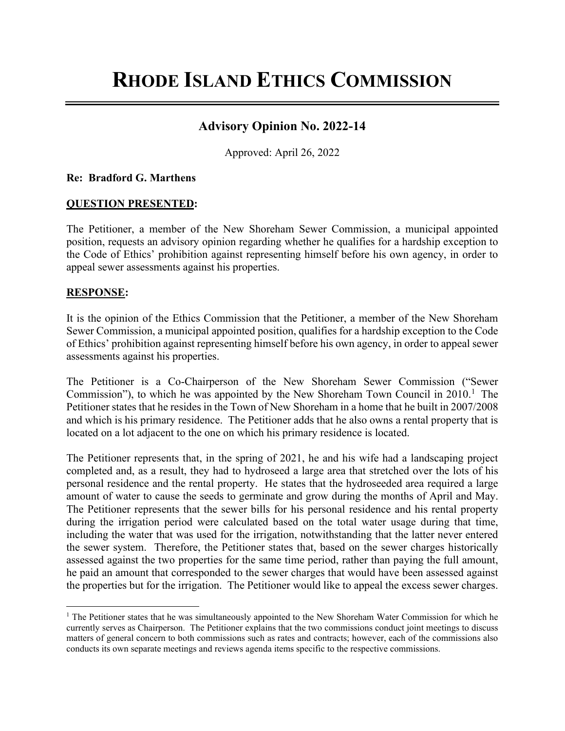# **RHODE ISLAND ETHICS COMMISSION**

# **Advisory Opinion No. 2022-14**

Approved: April 26, 2022

## **Re: Bradford G. Marthens**

## **QUESTION PRESENTED:**

The Petitioner, a member of the New Shoreham Sewer Commission, a municipal appointed position, requests an advisory opinion regarding whether he qualifies for a hardship exception to the Code of Ethics' prohibition against representing himself before his own agency, in order to appeal sewer assessments against his properties.

## **RESPONSE:**

It is the opinion of the Ethics Commission that the Petitioner, a member of the New Shoreham Sewer Commission, a municipal appointed position, qualifies for a hardship exception to the Code of Ethics' prohibition against representing himself before his own agency, in order to appeal sewer assessments against his properties.

The Petitioner is a Co-Chairperson of the New Shoreham Sewer Commission ("Sewer Commission"), to which he was appointed by the New Shoreham Town Council in 20[1](#page-0-0)0.<sup>1</sup> The Petitioner states that he resides in the Town of New Shoreham in a home that he built in 2007/2008 and which is his primary residence. The Petitioner adds that he also owns a rental property that is located on a lot adjacent to the one on which his primary residence is located.

The Petitioner represents that, in the spring of 2021, he and his wife had a landscaping project completed and, as a result, they had to hydroseed a large area that stretched over the lots of his personal residence and the rental property. He states that the hydroseeded area required a large amount of water to cause the seeds to germinate and grow during the months of April and May. The Petitioner represents that the sewer bills for his personal residence and his rental property during the irrigation period were calculated based on the total water usage during that time, including the water that was used for the irrigation, notwithstanding that the latter never entered the sewer system. Therefore, the Petitioner states that, based on the sewer charges historically assessed against the two properties for the same time period, rather than paying the full amount, he paid an amount that corresponded to the sewer charges that would have been assessed against the properties but for the irrigation. The Petitioner would like to appeal the excess sewer charges.

<span id="page-0-0"></span><sup>&</sup>lt;sup>1</sup> The Petitioner states that he was simultaneously appointed to the New Shoreham Water Commission for which he currently serves as Chairperson. The Petitioner explains that the two commissions conduct joint meetings to discuss matters of general concern to both commissions such as rates and contracts; however, each of the commissions also conducts its own separate meetings and reviews agenda items specific to the respective commissions.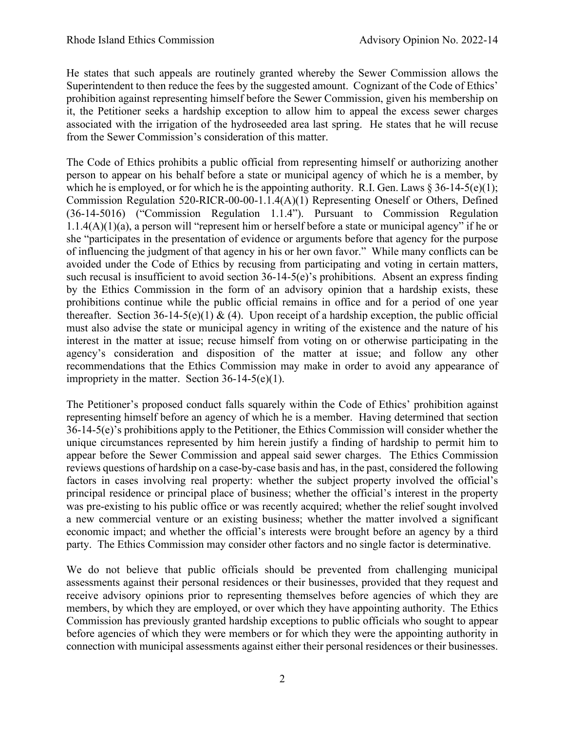He states that such appeals are routinely granted whereby the Sewer Commission allows the Superintendent to then reduce the fees by the suggested amount. Cognizant of the Code of Ethics' prohibition against representing himself before the Sewer Commission, given his membership on it, the Petitioner seeks a hardship exception to allow him to appeal the excess sewer charges associated with the irrigation of the hydroseeded area last spring. He states that he will recuse from the Sewer Commission's consideration of this matter.

The Code of Ethics prohibits a public official from representing himself or authorizing another person to appear on his behalf before a state or municipal agency of which he is a member, by which he is employed, or for which he is the appointing authority. R.I. Gen. Laws  $\S 36-14-5(e)(1)$ ; Commission Regulation 520-RICR-00-00-1.1.4(A)(1) Representing Oneself or Others, Defined (36-14-5016) ("Commission Regulation 1.1.4"). Pursuant to Commission Regulation  $1.1.4(A)(1)(a)$ , a person will "represent him or herself before a state or municipal agency" if he or she "participates in the presentation of evidence or arguments before that agency for the purpose of influencing the judgment of that agency in his or her own favor." While many conflicts can be avoided under the Code of Ethics by recusing from participating and voting in certain matters, such recusal is insufficient to avoid section 36-14-5(e)'s prohibitions. Absent an express finding by the Ethics Commission in the form of an advisory opinion that a hardship exists, these prohibitions continue while the public official remains in office and for a period of one year thereafter. Section 36-14-5(e)(1) & (4). Upon receipt of a hardship exception, the public official must also advise the state or municipal agency in writing of the existence and the nature of his interest in the matter at issue; recuse himself from voting on or otherwise participating in the agency's consideration and disposition of the matter at issue; and follow any other recommendations that the Ethics Commission may make in order to avoid any appearance of impropriety in the matter. Section  $36-14-5(e)(1)$ .

The Petitioner's proposed conduct falls squarely within the Code of Ethics' prohibition against representing himself before an agency of which he is a member. Having determined that section 36-14-5(e)'s prohibitions apply to the Petitioner, the Ethics Commission will consider whether the unique circumstances represented by him herein justify a finding of hardship to permit him to appear before the Sewer Commission and appeal said sewer charges. The Ethics Commission reviews questions of hardship on a case-by-case basis and has, in the past, considered the following factors in cases involving real property: whether the subject property involved the official's principal residence or principal place of business; whether the official's interest in the property was pre-existing to his public office or was recently acquired; whether the relief sought involved a new commercial venture or an existing business; whether the matter involved a significant economic impact; and whether the official's interests were brought before an agency by a third party. The Ethics Commission may consider other factors and no single factor is determinative.

We do not believe that public officials should be prevented from challenging municipal assessments against their personal residences or their businesses, provided that they request and receive advisory opinions prior to representing themselves before agencies of which they are members, by which they are employed, or over which they have appointing authority. The Ethics Commission has previously granted hardship exceptions to public officials who sought to appear before agencies of which they were members or for which they were the appointing authority in connection with municipal assessments against either their personal residences or their businesses.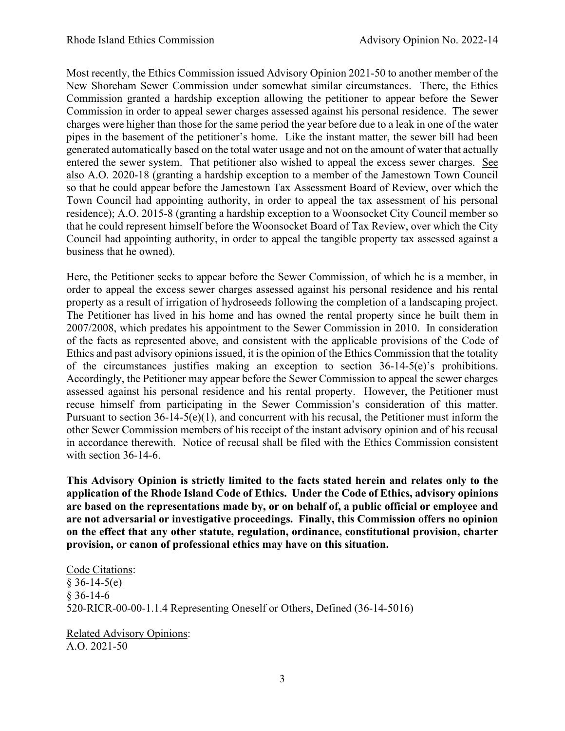Most recently, the Ethics Commission issued Advisory Opinion 2021-50 to another member of the New Shoreham Sewer Commission under somewhat similar circumstances. There, the Ethics Commission granted a hardship exception allowing the petitioner to appear before the Sewer Commission in order to appeal sewer charges assessed against his personal residence. The sewer charges were higher than those for the same period the year before due to a leak in one of the water pipes in the basement of the petitioner's home. Like the instant matter, the sewer bill had been generated automatically based on the total water usage and not on the amount of water that actually entered the sewer system. That petitioner also wished to appeal the excess sewer charges. See also A.O. 2020-18 (granting a hardship exception to a member of the Jamestown Town Council so that he could appear before the Jamestown Tax Assessment Board of Review, over which the Town Council had appointing authority, in order to appeal the tax assessment of his personal residence); A.O. 2015-8 (granting a hardship exception to a Woonsocket City Council member so that he could represent himself before the Woonsocket Board of Tax Review, over which the City Council had appointing authority, in order to appeal the tangible property tax assessed against a business that he owned).

Here, the Petitioner seeks to appear before the Sewer Commission, of which he is a member, in order to appeal the excess sewer charges assessed against his personal residence and his rental property as a result of irrigation of hydroseeds following the completion of a landscaping project. The Petitioner has lived in his home and has owned the rental property since he built them in 2007/2008, which predates his appointment to the Sewer Commission in 2010. In consideration of the facts as represented above, and consistent with the applicable provisions of the Code of Ethics and past advisory opinions issued, it is the opinion of the Ethics Commission that the totality of the circumstances justifies making an exception to section 36-14-5(e)'s prohibitions. Accordingly, the Petitioner may appear before the Sewer Commission to appeal the sewer charges assessed against his personal residence and his rental property. However, the Petitioner must recuse himself from participating in the Sewer Commission's consideration of this matter. Pursuant to section  $36-14-5(e)(1)$ , and concurrent with his recusal, the Petitioner must inform the other Sewer Commission members of his receipt of the instant advisory opinion and of his recusal in accordance therewith. Notice of recusal shall be filed with the Ethics Commission consistent with section 36-14-6.

**This Advisory Opinion is strictly limited to the facts stated herein and relates only to the application of the Rhode Island Code of Ethics. Under the Code of Ethics, advisory opinions are based on the representations made by, or on behalf of, a public official or employee and are not adversarial or investigative proceedings. Finally, this Commission offers no opinion on the effect that any other statute, regulation, ordinance, constitutional provision, charter provision, or canon of professional ethics may have on this situation.** 

Code Citations:  $§ 36-14-5(e)$ § 36-14-6 520-RICR-00-00-1.1.4 Representing Oneself or Others, Defined (36-14-5016)

Related Advisory Opinions: A.O. 2021-50